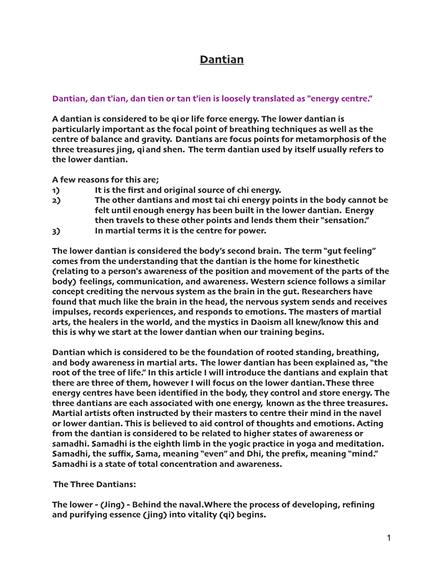## **Dantian**

## **Dantian, dan t'ian, dan tien or tan t'ien is loosely translated as "energy centre."**

**A dantian is considered to be qior life force energy. The lower dantian is particularly important as the focal point of breathing techniques as well as the centre of balance and gravity. Dantians are focus points for metamorphosis of the three treasures jing, qiand shen. The term dantian used by itself usually refers to the lower dantian.** 

**A few reasons for this are;**

- **1) It is the first and original source of chi energy.**
- **2) The other dantians and most tai chi energy points in the body cannot be felt until enough energy has been built in the lower dantian. Energy then travels to these other points and lends them their "sensation."**
- **3) In martial terms it is the centre for power.**

**The lower dantian is considered the body's second brain. The term "gut feeling" comes from the understanding that the dantian is the home for kinesthetic (relating to a person's awareness of the position and movement of the parts of the body) feelings, communication, and awareness. Western science follows a similar concept crediting the nervous system as the brain in the gut. Researchers have found that much like the brain in the head, the nervous system sends and receives impulses, records experiences, and responds to emotions. The masters of martial arts, the healers in the world, and the mystics in Daoism all knew/know this and this is why we start at the lower dantian when our training begins.**

**Dantian which is considered to be the foundation of rooted standing, breathing, and body awareness in martial arts. The lower dantian has been explained as, "the root of the tree of life." In this article I will introduce the dantians and explain that there are three of them, however I will focus on the lower dantian. These three energy centres have been identified in the body, they control and store energy. The three dantians are each associated with one energy, known as the three treasures. Martial artists ofen instructed by their masters to centre their mind in the navel or lower dantian. This is believed to aid control of thoughts and emotions. Acting from the dantian is considered to be related to higher states of awareness or samadhi. Samadhi is the eighth limb in the yogic practice in yoga and meditation. Samadhi, the suffix, Sama, meaning "even" and Dhi, the prefix, meaning "mind." Samadhi is a state of total concentration and awareness.**

**The Three Dantians:**

**The lower - (Jing) - Behind the naval.Where the process of developing, refining and purifying essence (jing) into vitality (qi) begins.**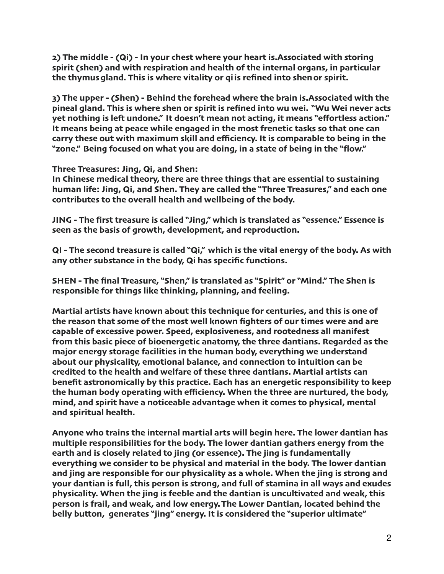**2) The middle - (Qi) - In your chest where your heart is.Associated with storing spirit (shen) and with respiration and health of the internal organs, in particular the thymusgland. This is where vitality or qiis refined into shenor spirit.**

**3) The upper - (Shen) - Behind the forehead where the brain is.Associated with the pineal gland. This is where shen or spirit is refined into wu wei. "Wu Wei never acts yet nothing is lef undone." It doesn't mean not acting, it means "effortless action." It means being at peace while engaged in the most frenetic tasks so that one can carry these out with maximum skill and efficiency. It is comparable to being in the "zone." Being focused on what you are doing, in a state of being in the "flow."**

**Three Treasures: Jing, Qi, and Shen:**

**In Chinese medical theory, there are three things that are essential to sustaining human life: Jing, Qi, and Shen. They are called the "Three Treasures," and each one contributes to the overall health and wellbeing of the body.**

**JING - The first treasure is called "Jing," which is translated as "essence." Essence is seen as the basis of growth, development, and reproduction.**

**QI - The second treasure is called "Qi," which is the vital energy of the body. As with any other substance in the body, Qi has specific functions.**

**SHEN - The final Treasure, "Shen," is translated as "Spirit" or "Mind." The Shen is responsible for things like thinking, planning, and feeling.**

**Martial artists have known about this technique for centuries, and this is one of the reason that some of the most well known fighters of our times were and are capable of excessive power. Speed, explosiveness, and rootedness all manifest from this basic piece of bioenergetic anatomy, the three dantians. Regarded as the major energy storage facilities in the human body, everything we understand about our physicality, emotional balance, and connection to intuition can be credited to the health and welfare of these three dantians. Martial artists can benefit astronomically by this practice. Each has an energetic responsibility to keep the human body operating with efficiency. When the three are nurtured, the body, mind, and spirit have a noticeable advantage when it comes to physical, mental and spiritual health.**

**Anyone who trains the internal martial arts will begin here. The lower dantian has multiple responsibilities for the body. The lower dantian gathers energy from the earth and is closely related to jing (or essence). The jing is fundamentally everything we consider to be physical and material in the body. The lower dantian and jing are responsible for our physicality as a whole. When the jing is strong and your dantian is full, this person is strong, and full of stamina in all ways and exudes physicality. When the jing is feeble and the dantian is uncultivated and weak, this person is frail, and weak, and low energy. The Lower Dantian, located behind the belly button, generates "jing" energy. It is considered the "superior ultimate"**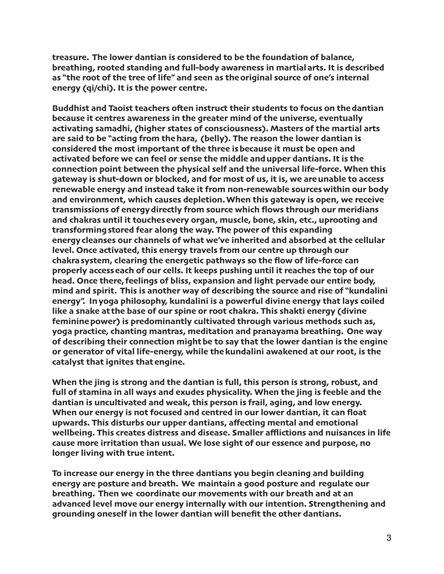**treasure. The lower dantian is considered to be the foundation of balance, breathing, rooted standing and full-body awareness in martialarts. It is described as "the root of the tree of life" and seen as theoriginal source of one's internal energy (qi/chi). It is the power centre.** 

**Buddhist and Taoist teachers ofen instruct their students to focus on thedantian because it centres awareness in the greater mind of the universe, eventually activating samadhi, (higher states of consciousness). Masters of the martial arts are said to be "acting from thehara, (belly). The reason the lower dantian is considered the most important of the three isbecause it must be open and activated before we can feel or sense the middle andupper dantians. It is the connection point between the physical self and the universal life-force. When this gateway is shut-down or blocked, and for most of us, it is, we areunable to access renewable energy and instead take it from non-renewable sourceswithin our body and environment, which causes depletion. When this gateway is open, we receive transmissions of energydirectly from source which flows through our meridians and chakras until it touchesevery organ, muscle, bone, skin, etc., uprooting and transformingstored fear along the way. The power of this expanding energycleanses our channels of what we've inherited and absorbed at the cellular level. Once activated, this energy travels from our centre up through our chakrasystem, clearing the energetic pathways so the flow of life-force can properly accesseach of our cells. It keeps pushing until it reaches the top of our head. Once there, feelings of bliss, expansion and light pervade our entire body, mind and spirit. This is another way of describing the source and rise of "kundalini energy". Inyoga philosophy, kundalini is a powerful divine energy that lays coiled like a snake at the base of our spine or root chakra. This shakti energy (divine femininepower) is predominantly cultivated through various methods such as, yoga practice, chanting mantras, meditation and pranayama breathing. One way of describing their connection mightbe to say that the lower dantian is the engine or generator of vital life-energy, while thekundalini awakened at our root, is the catalyst that ignites thatengine.**

**When the jing is strong and the dantian is full, this person is strong, robust, and full of stamina in all ways and exudes physicality. When the jing is feeble and the dantian is uncultivated and weak, this person is frail, aging, and low energy. When our energy is not focused and centred in our lower dantian, it can float upwards. This disturbs our upper dantians, affecting mental and emotional wellbeing. This creates distress and disease. Smaller afflictions and nuisances in life cause more irritation than usual. We lose sight of our essence and purpose, no longer living with true intent.**

**To increase our energy in the three dantians you begin cleaning and building energy are posture and breath. We maintain a good posture and regulate our breathing. Then we coordinate our movements with our breath and at an advanced level move our energy internally with our intention. Strengthening and grounding oneself in the lower dantian will benefit the other dantians.**